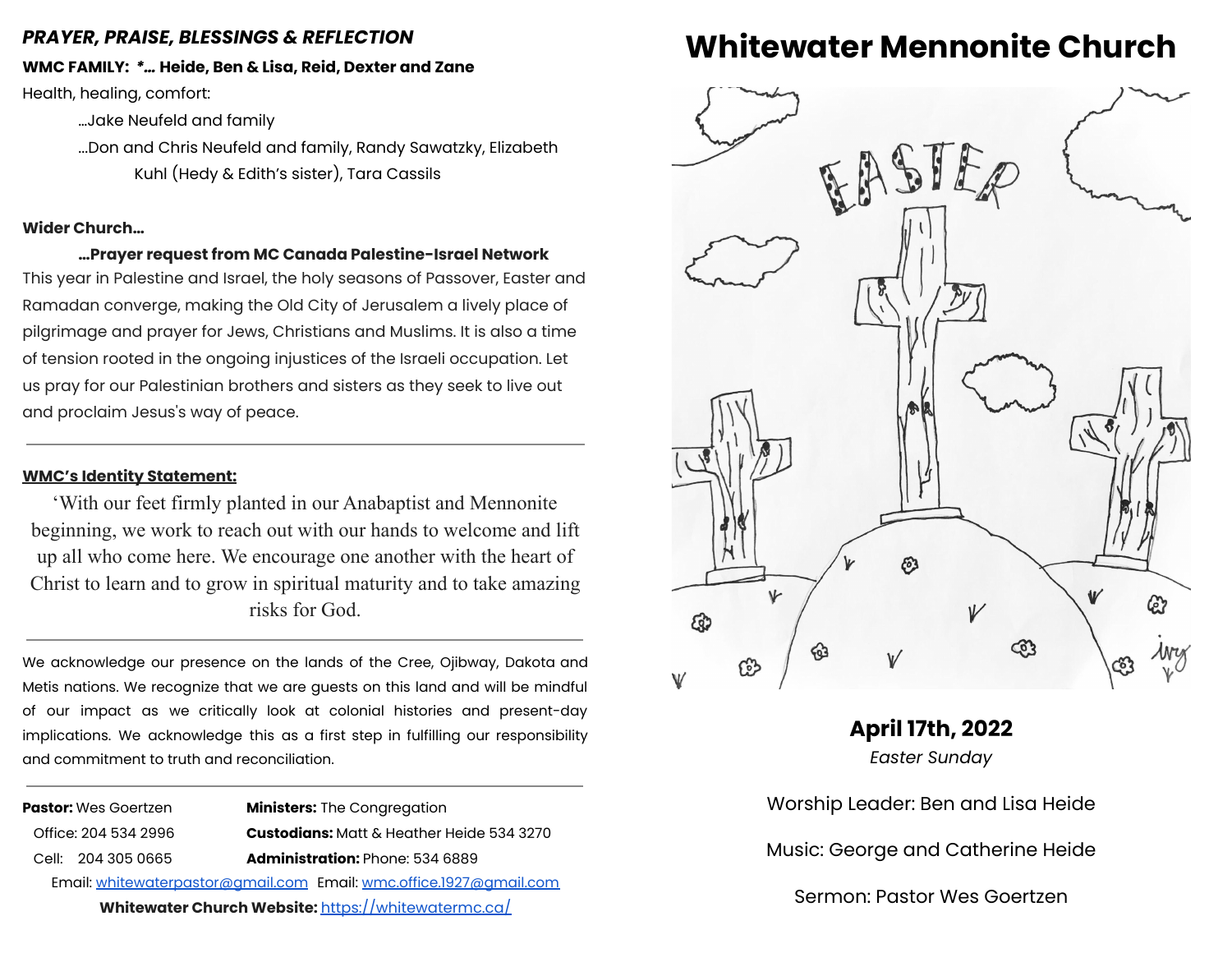# *PRAYER, PRAISE, BLESSINGS & REFLECTION*

**WMC FAMILY:** *\*…* **Heide, Ben & Lisa, Reid, Dexter and Zane**

Health, healing, comfort:

…Jake Neufeld and family

...Don and Chris Neufeld and family, Randy Sawatzky, Elizabeth Kuhl (Hedy & Edith's sister), Tara Cassils

## **Wider Church…**

**…Prayer request from MC Canada Palestine-Israel Network** This year in Palestine and Israel, the holy seasons of Passover, Easter and Ramadan converge, making the Old City of Jerusalem a lively place of pilgrimage and prayer for Jews, Christians and Muslims. It is also a time of tension rooted in the ongoing injustices of the Israeli occupation. Let us pray for our Palestinian brothers and sisters as they seek to live out and proclaim Jesus's way of peace.

# **WMC's Identity Statement:**

'With our feet firmly planted in our Anabaptist and Mennonite beginning, we work to reach out with our hands to welcome and lift up all who come here. We encourage one another with the heart of Christ to learn and to grow in spiritual maturity and to take amazing risks for God.

We acknowledge our presence on the lands of the Cree, Ojibway, Dakota and Metis nations. We recognize that we are guests on this land and will be mindful of our impact as we critically look at colonial histories and present-day implications. We acknowledge this as a first step in fulfilling our responsibility and commitment to truth and reconciliation.

|                                                                    | <b>Pastor:</b> Wes Goertzen | <b>Ministers:</b> The Congregation               |
|--------------------------------------------------------------------|-----------------------------|--------------------------------------------------|
|                                                                    | Office: 204 534 2996        | <b>Custodians:</b> Matt & Heather Heide 534 3270 |
|                                                                    | Cell: 204 305 0665          | <b>Administration: Phone: 534 6889</b>           |
| Email: whitewaterpastor@gmail.com Email: wmc.office.1927@gmail.com |                             |                                                  |
| Whitewater Church Website: https://whitewatermc.ca/                |                             |                                                  |

# **Whitewater Mennonite Church**



**April 17th, 2022** *Easter Sunday* Worship Leader: Ben and Lisa Heide Music: George and Catherine Heide Sermon: Pastor Wes Goertzen